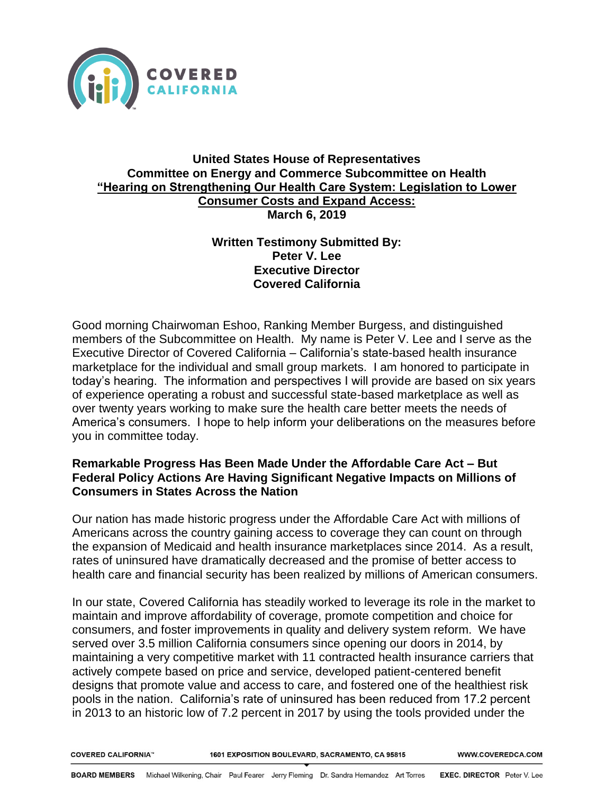

## **United States House of Representatives Committee on Energy and Commerce Subcommittee on Health "Hearing on Strengthening Our Health Care System: Legislation to Lower Consumer Costs and Expand Access: March 6, 2019**

## **Written Testimony Submitted By: Peter V. Lee Executive Director Covered California**

Good morning Chairwoman Eshoo, Ranking Member Burgess, and distinguished members of the Subcommittee on Health. My name is Peter V. Lee and I serve as the Executive Director of Covered California – California's state-based health insurance marketplace for the individual and small group markets. I am honored to participate in today's hearing. The information and perspectives I will provide are based on six years of experience operating a robust and successful state-based marketplace as well as over twenty years working to make sure the health care better meets the needs of America's consumers. I hope to help inform your deliberations on the measures before you in committee today.

## **Remarkable Progress Has Been Made Under the Affordable Care Act – But Federal Policy Actions Are Having Significant Negative Impacts on Millions of Consumers in States Across the Nation**

Our nation has made historic progress under the Affordable Care Act with millions of Americans across the country gaining access to coverage they can count on through the expansion of Medicaid and health insurance marketplaces since 2014. As a result, rates of uninsured have dramatically decreased and the promise of better access to health care and financial security has been realized by millions of American consumers.

In our state, Covered California has steadily worked to leverage its role in the market to maintain and improve affordability of coverage, promote competition and choice for consumers, and foster improvements in quality and delivery system reform. We have served over 3.5 million California consumers since opening our doors in 2014, by maintaining a very competitive market with 11 contracted health insurance carriers that actively compete based on price and service, developed patient-centered benefit designs that promote value and access to care, and fostered one of the healthiest risk pools in the nation. California's rate of uninsured has been reduced from 17.2 percent in 2013 to an historic low of 7.2 percent in 2017 by using the tools provided under the

**COVERED CALIFORNIA<sup>®</sup>** 

1601 EXPOSITION BOULEVARD, SACRAMENTO, CA 95815

WWW.COVEREDCA.COM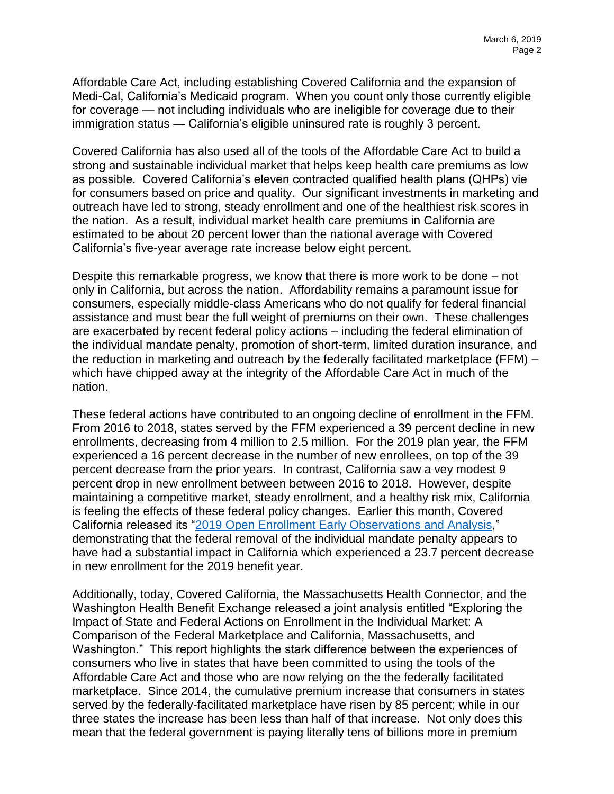Affordable Care Act, including establishing Covered California and the expansion of Medi-Cal, California's Medicaid program. When you count only those currently eligible for coverage — not including individuals who are ineligible for coverage due to their immigration status — California's eligible uninsured rate is roughly 3 percent.

Covered California has also used all of the tools of the Affordable Care Act to build a strong and sustainable individual market that helps keep health care premiums as low as possible. Covered California's eleven contracted qualified health plans (QHPs) vie for consumers based on price and quality. Our significant investments in marketing and outreach have led to strong, steady enrollment and one of the healthiest risk scores in the nation. As a result, individual market health care premiums in California are estimated to be about 20 percent lower than the national average with Covered California's five-year average rate increase below eight percent.

Despite this remarkable progress, we know that there is more work to be done – not only in California, but across the nation. Affordability remains a paramount issue for consumers, especially middle-class Americans who do not qualify for federal financial assistance and must bear the full weight of premiums on their own. These challenges are exacerbated by recent federal policy actions – including the federal elimination of the individual mandate penalty, promotion of short-term, limited duration insurance, and the reduction in marketing and outreach by the federally facilitated marketplace (FFM) – which have chipped away at the integrity of the Affordable Care Act in much of the nation.

These federal actions have contributed to an ongoing decline of enrollment in the FFM. From 2016 to 2018, states served by the FFM experienced a 39 percent decline in new enrollments, decreasing from 4 million to 2.5 million. For the 2019 plan year, the FFM experienced a 16 percent decrease in the number of new enrollees, on top of the 39 percent decrease from the prior years. In contrast, California saw a vey modest 9 percent drop in new enrollment between between 2016 to 2018. However, despite maintaining a competitive market, steady enrollment, and a healthy risk mix, California is feeling the effects of these federal policy changes. Earlier this month, Covered California released its ["2019 Open Enrollment Early Observations and Analysis,](https://hbex.coveredca.com/data-research/library/CoveredCA_2019_Open_Enrollment_Early_Analysis.pdf)" demonstrating that the federal removal of the individual mandate penalty appears to have had a substantial impact in California which experienced a 23.7 percent decrease in new enrollment for the 2019 benefit year.

Additionally, today, Covered California, the Massachusetts Health Connector, and the Washington Health Benefit Exchange released a joint analysis entitled "Exploring the Impact of State and Federal Actions on Enrollment in the Individual Market: A Comparison of the Federal Marketplace and California, Massachusetts, and Washington." This report highlights the stark difference between the experiences of consumers who live in states that have been committed to using the tools of the Affordable Care Act and those who are now relying on the the federally facilitated marketplace. Since 2014, the cumulative premium increase that consumers in states served by the federally-facilitated marketplace have risen by 85 percent; while in our three states the increase has been less than half of that increase. Not only does this mean that the federal government is paying literally tens of billions more in premium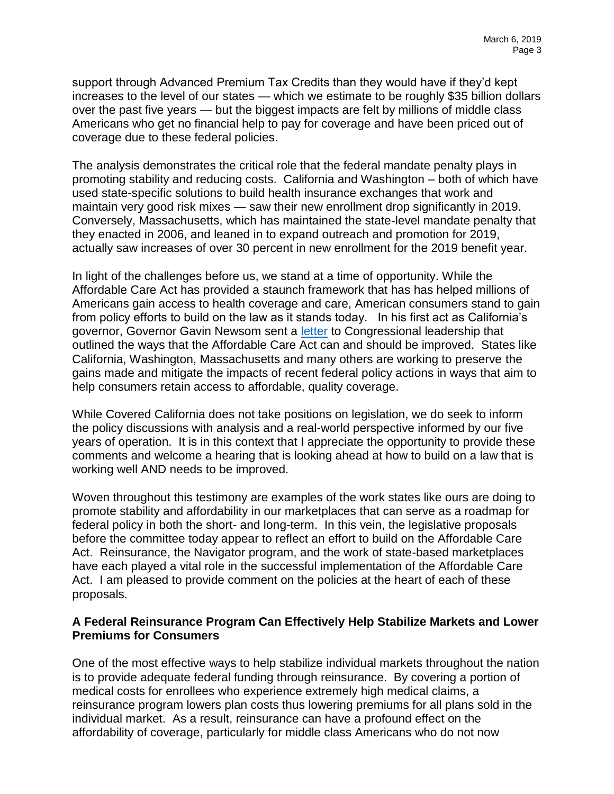support through Advanced Premium Tax Credits than they would have if they'd kept increases to the level of our states — which we estimate to be roughly \$35 billion dollars over the past five years — but the biggest impacts are felt by millions of middle class Americans who get no financial help to pay for coverage and have been priced out of coverage due to these federal policies.

The analysis demonstrates the critical role that the federal mandate penalty plays in promoting stability and reducing costs. California and Washington – both of which have used state-specific solutions to build health insurance exchanges that work and maintain very good risk mixes — saw their new enrollment drop significantly in 2019. Conversely, Massachusetts, which has maintained the state-level mandate penalty that they enacted in 2006, and leaned in to expand outreach and promotion for 2019, actually saw increases of over 30 percent in new enrollment for the 2019 benefit year.

In light of the challenges before us, we stand at a time of opportunity. While the Affordable Care Act has provided a staunch framework that has has helped millions of Americans gain access to health coverage and care, American consumers stand to gain from policy efforts to build on the law as it stands today. In his first act as California's governor, Governor Gavin Newsom sent a [letter](https://hbex.coveredca.com/PDFs/CoveredCA-OptionsLettertoCongress-2-01-19.pdf) to Congressional leadership that outlined the ways that the Affordable Care Act can and should be improved. States like California, Washington, Massachusetts and many others are working to preserve the gains made and mitigate the impacts of recent federal policy actions in ways that aim to help consumers retain access to affordable, quality coverage.

While Covered California does not take positions on legislation, we do seek to inform the policy discussions with analysis and a real-world perspective informed by our five years of operation. It is in this context that I appreciate the opportunity to provide these comments and welcome a hearing that is looking ahead at how to build on a law that is working well AND needs to be improved.

Woven throughout this testimony are examples of the work states like ours are doing to promote stability and affordability in our marketplaces that can serve as a roadmap for federal policy in both the short- and long-term. In this vein, the legislative proposals before the committee today appear to reflect an effort to build on the Affordable Care Act. Reinsurance, the Navigator program, and the work of state-based marketplaces have each played a vital role in the successful implementation of the Affordable Care Act. I am pleased to provide comment on the policies at the heart of each of these proposals.

## **A Federal Reinsurance Program Can Effectively Help Stabilize Markets and Lower Premiums for Consumers**

One of the most effective ways to help stabilize individual markets throughout the nation is to provide adequate federal funding through reinsurance. By covering a portion of medical costs for enrollees who experience extremely high medical claims, a reinsurance program lowers plan costs thus lowering premiums for all plans sold in the individual market. As a result, reinsurance can have a profound effect on the affordability of coverage, particularly for middle class Americans who do not now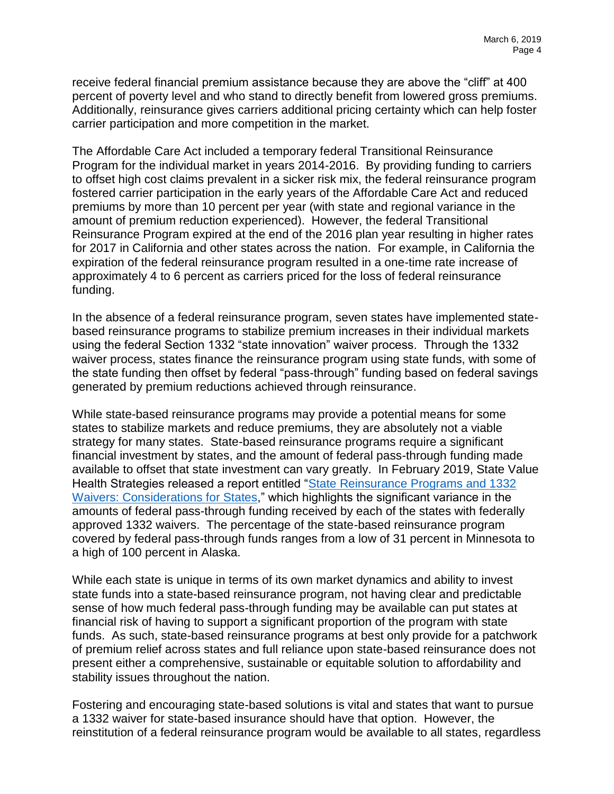receive federal financial premium assistance because they are above the "cliff" at 400 percent of poverty level and who stand to directly benefit from lowered gross premiums. Additionally, reinsurance gives carriers additional pricing certainty which can help foster carrier participation and more competition in the market.

The Affordable Care Act included a temporary federal Transitional Reinsurance Program for the individual market in years 2014-2016. By providing funding to carriers to offset high cost claims prevalent in a sicker risk mix, the federal reinsurance program fostered carrier participation in the early years of the Affordable Care Act and reduced premiums by more than 10 percent per year (with state and regional variance in the amount of premium reduction experienced). However, the federal Transitional Reinsurance Program expired at the end of the 2016 plan year resulting in higher rates for 2017 in California and other states across the nation. For example, in California the expiration of the federal reinsurance program resulted in a one-time rate increase of approximately 4 to 6 percent as carriers priced for the loss of federal reinsurance funding.

In the absence of a federal reinsurance program, seven states have implemented statebased reinsurance programs to stabilize premium increases in their individual markets using the federal Section 1332 "state innovation" waiver process. Through the 1332 waiver process, states finance the reinsurance program using state funds, with some of the state funding then offset by federal "pass-through" funding based on federal savings generated by premium reductions achieved through reinsurance.

While state-based reinsurance programs may provide a potential means for some states to stabilize markets and reduce premiums, they are absolutely not a viable strategy for many states. State-based reinsurance programs require a significant financial investment by states, and the amount of federal pass-through funding made available to offset that state investment can vary greatly. In February 2019, State Value Health Strategies released a report entitled ["State Reinsurance Programs and 1332](https://www.shvs.org/wp-content/uploads/2019/02/SHVS-Reinsurance-SHPH-Updated_FINAL.pdf)  [Waivers: Considerations for States,](https://www.shvs.org/wp-content/uploads/2019/02/SHVS-Reinsurance-SHPH-Updated_FINAL.pdf)" which highlights the significant variance in the amounts of federal pass-through funding received by each of the states with federally approved 1332 waivers. The percentage of the state-based reinsurance program covered by federal pass-through funds ranges from a low of 31 percent in Minnesota to a high of 100 percent in Alaska.

While each state is unique in terms of its own market dynamics and ability to invest state funds into a state-based reinsurance program, not having clear and predictable sense of how much federal pass-through funding may be available can put states at financial risk of having to support a significant proportion of the program with state funds. As such, state-based reinsurance programs at best only provide for a patchwork of premium relief across states and full reliance upon state-based reinsurance does not present either a comprehensive, sustainable or equitable solution to affordability and stability issues throughout the nation.

Fostering and encouraging state-based solutions is vital and states that want to pursue a 1332 waiver for state-based insurance should have that option. However, the reinstitution of a federal reinsurance program would be available to all states, regardless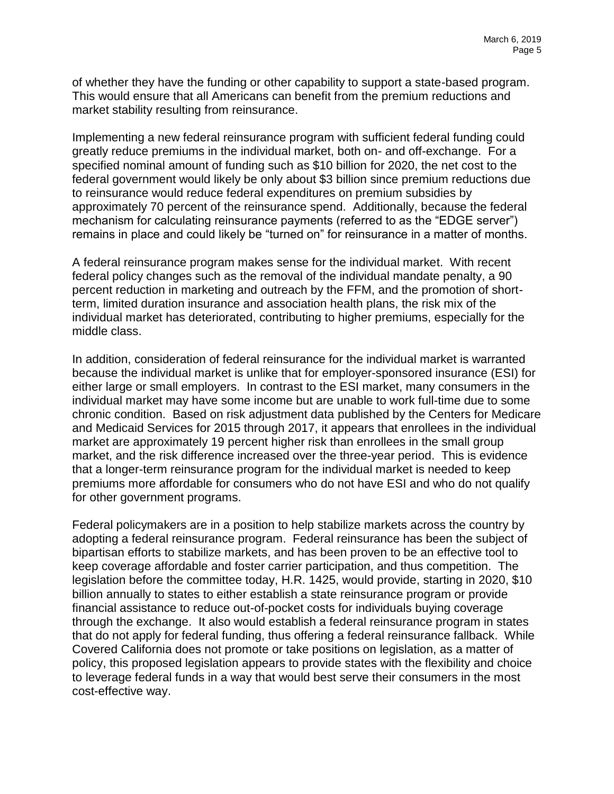of whether they have the funding or other capability to support a state-based program. This would ensure that all Americans can benefit from the premium reductions and market stability resulting from reinsurance.

Implementing a new federal reinsurance program with sufficient federal funding could greatly reduce premiums in the individual market, both on- and off-exchange. For a specified nominal amount of funding such as \$10 billion for 2020, the net cost to the federal government would likely be only about \$3 billion since premium reductions due to reinsurance would reduce federal expenditures on premium subsidies by approximately 70 percent of the reinsurance spend. Additionally, because the federal mechanism for calculating reinsurance payments (referred to as the "EDGE server") remains in place and could likely be "turned on" for reinsurance in a matter of months.

A federal reinsurance program makes sense for the individual market. With recent federal policy changes such as the removal of the individual mandate penalty, a 90 percent reduction in marketing and outreach by the FFM, and the promotion of shortterm, limited duration insurance and association health plans, the risk mix of the individual market has deteriorated, contributing to higher premiums, especially for the middle class.

In addition, consideration of federal reinsurance for the individual market is warranted because the individual market is unlike that for employer-sponsored insurance (ESI) for either large or small employers. In contrast to the ESI market, many consumers in the individual market may have some income but are unable to work full-time due to some chronic condition. Based on risk adjustment data published by the Centers for Medicare and Medicaid Services for 2015 through 2017, it appears that enrollees in the individual market are approximately 19 percent higher risk than enrollees in the small group market, and the risk difference increased over the three-year period. This is evidence that a longer-term reinsurance program for the individual market is needed to keep premiums more affordable for consumers who do not have ESI and who do not qualify for other government programs.

Federal policymakers are in a position to help stabilize markets across the country by adopting a federal reinsurance program. Federal reinsurance has been the subject of bipartisan efforts to stabilize markets, and has been proven to be an effective tool to keep coverage affordable and foster carrier participation, and thus competition. The legislation before the committee today, H.R. 1425, would provide, starting in 2020, \$10 billion annually to states to either establish a state reinsurance program or provide financial assistance to reduce out-of-pocket costs for individuals buying coverage through the exchange. It also would establish a federal reinsurance program in states that do not apply for federal funding, thus offering a federal reinsurance fallback. While Covered California does not promote or take positions on legislation, as a matter of policy, this proposed legislation appears to provide states with the flexibility and choice to leverage federal funds in a way that would best serve their consumers in the most cost-effective way.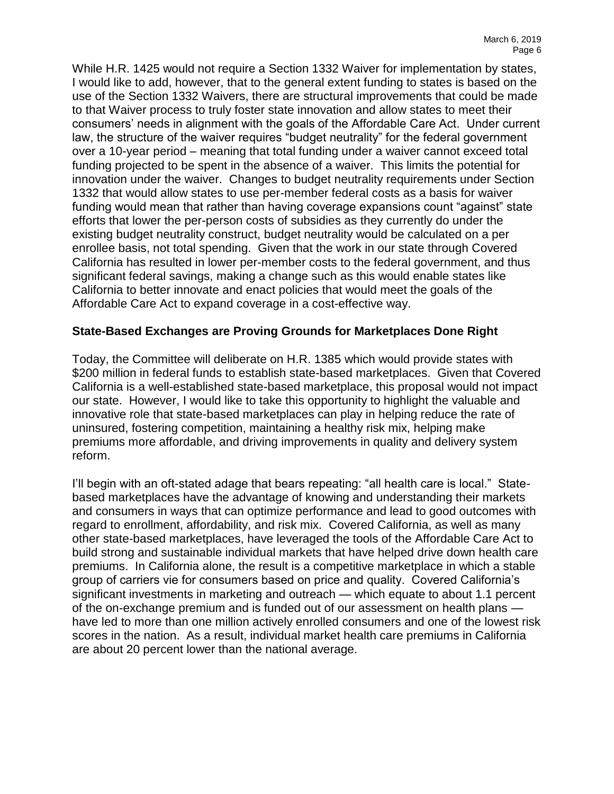While H.R. 1425 would not require a Section 1332 Waiver for implementation by states, I would like to add, however, that to the general extent funding to states is based on the use of the Section 1332 Waivers, there are structural improvements that could be made to that Waiver process to truly foster state innovation and allow states to meet their consumers' needs in alignment with the goals of the Affordable Care Act. Under current law, the structure of the waiver requires "budget neutrality" for the federal government over a 10-year period – meaning that total funding under a waiver cannot exceed total funding projected to be spent in the absence of a waiver. This limits the potential for innovation under the waiver. Changes to budget neutrality requirements under Section 1332 that would allow states to use per-member federal costs as a basis for waiver funding would mean that rather than having coverage expansions count "against" state efforts that lower the per-person costs of subsidies as they currently do under the existing budget neutrality construct, budget neutrality would be calculated on a per enrollee basis, not total spending. Given that the work in our state through Covered California has resulted in lower per-member costs to the federal government, and thus significant federal savings, making a change such as this would enable states like California to better innovate and enact policies that would meet the goals of the Affordable Care Act to expand coverage in a cost-effective way.

#### **State-Based Exchanges are Proving Grounds for Marketplaces Done Right**

Today, the Committee will deliberate on H.R. 1385 which would provide states with \$200 million in federal funds to establish state-based marketplaces. Given that Covered California is a well-established state-based marketplace, this proposal would not impact our state. However, I would like to take this opportunity to highlight the valuable and innovative role that state-based marketplaces can play in helping reduce the rate of uninsured, fostering competition, maintaining a healthy risk mix, helping make premiums more affordable, and driving improvements in quality and delivery system reform.

I'll begin with an oft-stated adage that bears repeating: "all health care is local." Statebased marketplaces have the advantage of knowing and understanding their markets and consumers in ways that can optimize performance and lead to good outcomes with regard to enrollment, affordability, and risk mix. Covered California, as well as many other state-based marketplaces, have leveraged the tools of the Affordable Care Act to build strong and sustainable individual markets that have helped drive down health care premiums. In California alone, the result is a competitive marketplace in which a stable group of carriers vie for consumers based on price and quality. Covered California's significant investments in marketing and outreach — which equate to about 1.1 percent of the on-exchange premium and is funded out of our assessment on health plans have led to more than one million actively enrolled consumers and one of the lowest risk scores in the nation. As a result, individual market health care premiums in California are about 20 percent lower than the national average.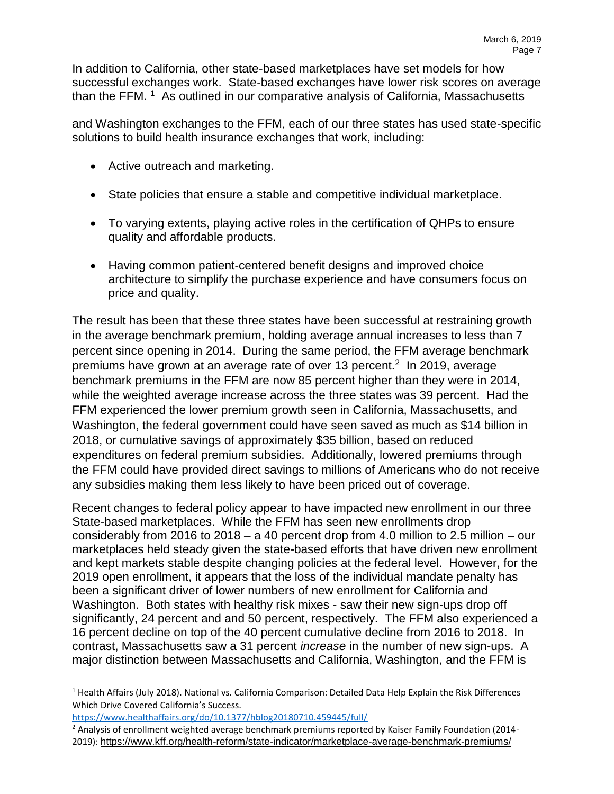In addition to California, other state-based marketplaces have set models for how successful exchanges work. State-based exchanges have lower risk scores on average than the FFM.  $1$  As outlined in our comparative analysis of California, Massachusetts

and Washington exchanges to the FFM, each of our three states has used state-specific solutions to build health insurance exchanges that work, including:

- Active outreach and marketing.
- State policies that ensure a stable and competitive individual marketplace.
- To varying extents, playing active roles in the certification of QHPs to ensure quality and affordable products.
- Having common patient-centered benefit designs and improved choice architecture to simplify the purchase experience and have consumers focus on price and quality.

The result has been that these three states have been successful at restraining growth in the average benchmark premium, holding average annual increases to less than 7 percent since opening in 2014. During the same period, the FFM average benchmark premiums have grown at an average rate of over 13 percent.<sup>2</sup> In 2019, average benchmark premiums in the FFM are now 85 percent higher than they were in 2014, while the weighted average increase across the three states was 39 percent. Had the FFM experienced the lower premium growth seen in California, Massachusetts, and Washington, the federal government could have seen saved as much as \$14 billion in 2018, or cumulative savings of approximately \$35 billion, based on reduced expenditures on federal premium subsidies. Additionally, lowered premiums through the FFM could have provided direct savings to millions of Americans who do not receive any subsidies making them less likely to have been priced out of coverage.

Recent changes to federal policy appear to have impacted new enrollment in our three State-based marketplaces. While the FFM has seen new enrollments drop considerably from 2016 to 2018 – a 40 percent drop from 4.0 million to 2.5 million – our marketplaces held steady given the state-based efforts that have driven new enrollment and kept markets stable despite changing policies at the federal level. However, for the 2019 open enrollment, it appears that the loss of the individual mandate penalty has been a significant driver of lower numbers of new enrollment for California and Washington. Both states with healthy risk mixes - saw their new sign-ups drop off significantly, 24 percent and and 50 percent, respectively. The FFM also experienced a 16 percent decline on top of the 40 percent cumulative decline from 2016 to 2018. In contrast, Massachusetts saw a 31 percent *increase* in the number of new sign-ups. A major distinction between Massachusetts and California, Washington, and the FFM is

 $\overline{a}$ 

<sup>&</sup>lt;sup>1</sup> Health Affairs (July 2018). National vs. California Comparison: Detailed Data Help Explain the Risk Differences Which Drive Covered California's Success.

<https://www.healthaffairs.org/do/10.1377/hblog20180710.459445/full/>

<sup>&</sup>lt;sup>2</sup> Analysis of enrollment weighted average benchmark premiums reported by Kaiser Family Foundation (2014-2019): <https://www.kff.org/health-reform/state-indicator/marketplace-average-benchmark-premiums/>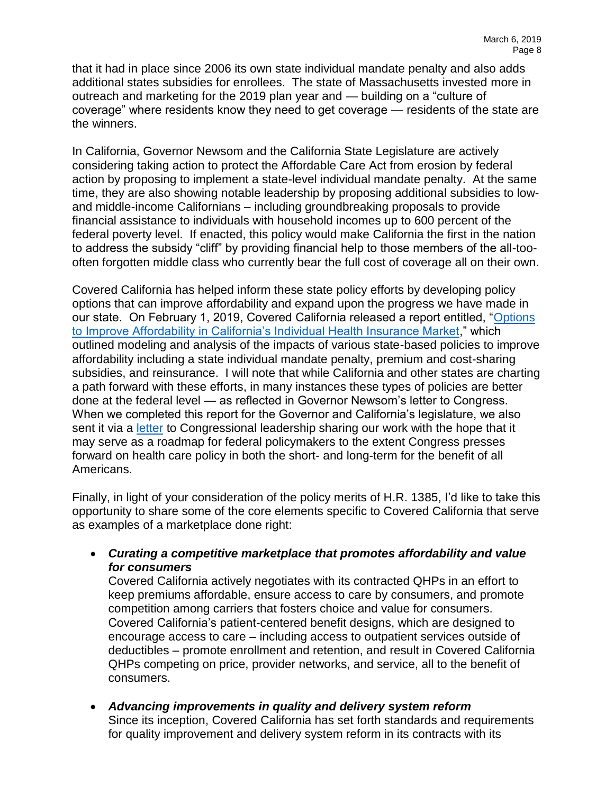that it had in place since 2006 its own state individual mandate penalty and also adds additional states subsidies for enrollees. The state of Massachusetts invested more in outreach and marketing for the 2019 plan year and — building on a "culture of coverage" where residents know they need to get coverage — residents of the state are the winners.

In California, Governor Newsom and the California State Legislature are actively considering taking action to protect the Affordable Care Act from erosion by federal action by proposing to implement a state-level individual mandate penalty. At the same time, they are also showing notable leadership by proposing additional subsidies to lowand middle-income Californians – including groundbreaking proposals to provide financial assistance to individuals with household incomes up to 600 percent of the federal poverty level. If enacted, this policy would make California the first in the nation to address the subsidy "cliff" by providing financial help to those members of the all-toooften forgotten middle class who currently bear the full cost of coverage all on their own.

Covered California has helped inform these state policy efforts by developing policy options that can improve affordability and expand upon the progress we have made in our state. On February 1, 2019, Covered California released a report entitled, ["Options](https://hbex.coveredca.com/data-research/library/CoveredCA_Options_To_Improve_Affordability.pdf)  [to Improve Affordability in California's Individual Health Insurance Market,](https://hbex.coveredca.com/data-research/library/CoveredCA_Options_To_Improve_Affordability.pdf)" which outlined modeling and analysis of the impacts of various state-based policies to improve affordability including a state individual mandate penalty, premium and cost-sharing subsidies, and reinsurance. I will note that while California and other states are charting a path forward with these efforts, in many instances these types of policies are better done at the federal level — as reflected in Governor Newsom's letter to Congress. When we completed this report for the Governor and California's legislature, we also sent it via a [letter](https://hbex.coveredca.com/PDFs/CoveredCA-OptionsLettertoCongress-2-01-19.pdf) to Congressional leadership sharing our work with the hope that it may serve as a roadmap for federal policymakers to the extent Congress presses forward on health care policy in both the short- and long-term for the benefit of all Americans.

Finally, in light of your consideration of the policy merits of H.R. 1385, I'd like to take this opportunity to share some of the core elements specific to Covered California that serve as examples of a marketplace done right:

• *Curating a competitive marketplace that promotes affordability and value for consumers*

Covered California actively negotiates with its contracted QHPs in an effort to keep premiums affordable, ensure access to care by consumers, and promote competition among carriers that fosters choice and value for consumers. Covered California's patient-centered benefit designs, which are designed to encourage access to care – including access to outpatient services outside of deductibles – promote enrollment and retention, and result in Covered California QHPs competing on price, provider networks, and service, all to the benefit of consumers.

• *Advancing improvements in quality and delivery system reform* Since its inception, Covered California has set forth standards and requirements for quality improvement and delivery system reform in its contracts with its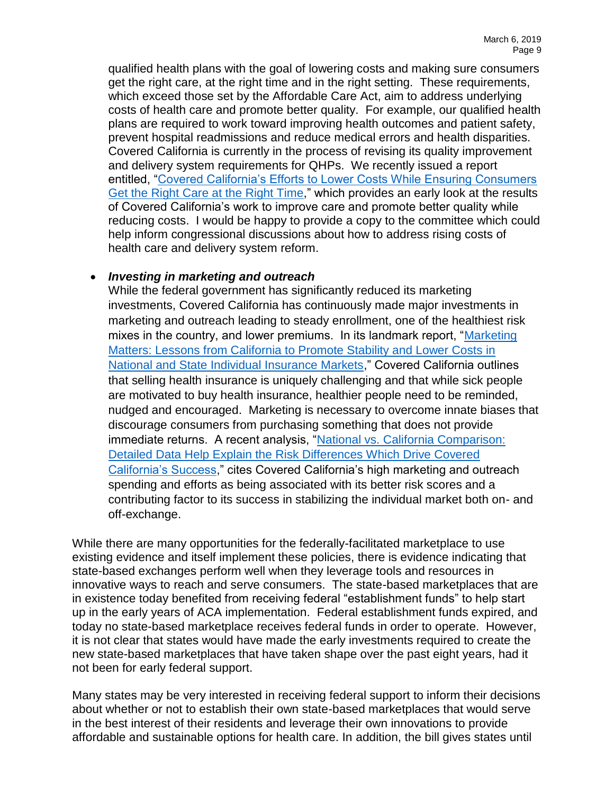qualified health plans with the goal of lowering costs and making sure consumers get the right care, at the right time and in the right setting. These requirements, which exceed those set by the Affordable Care Act, aim to address underlying costs of health care and promote better quality. For example, our qualified health plans are required to work toward improving health outcomes and patient safety, prevent hospital readmissions and reduce medical errors and health disparities. Covered California is currently in the process of revising its quality improvement and delivery system requirements for QHPs. We recently issued a report entitled, ["Covered California's Efforts to Lower Costs While Ensuring Consumers](https://www.coveredca.com/news/pdfs/CoveredCA_Efforts_to_Lower_Costs_3-19.pdf)  [Get the Right Care at the Right Time,](https://www.coveredca.com/news/pdfs/CoveredCA_Efforts_to_Lower_Costs_3-19.pdf)" which provides an early look at the results of Covered California's work to improve care and promote better quality while reducing costs. I would be happy to provide a copy to the committee which could help inform congressional discussions about how to address rising costs of health care and delivery system reform.

## • *Investing in marketing and outreach*

While the federal government has significantly reduced its marketing investments, Covered California has continuously made major investments in marketing and outreach leading to steady enrollment, one of the healthiest risk mixes in the country, and lower premiums. In its landmark report, "Marketing" Matters: Lessons [from California to Promote Stability and Lower Costs in](https://hbex.coveredca.com/data-research/library/CoveredCA_Marketing_Matters_9-17.pdf)  [National and State Individual Insurance Markets,](https://hbex.coveredca.com/data-research/library/CoveredCA_Marketing_Matters_9-17.pdf)" Covered California outlines that selling health insurance is uniquely challenging and that while sick people are motivated to buy health insurance, healthier people need to be reminded, nudged and encouraged. Marketing is necessary to overcome innate biases that discourage consumers from purchasing something that does not provide immediate returns. A recent analysis, ["National vs. California Comparison:](https://www.healthaffairs.org/do/10.1377/hblog20180710.459445/full/)  [Detailed Data Help Explain the Risk Differences Which Drive Covered](https://www.healthaffairs.org/do/10.1377/hblog20180710.459445/full/)  [California's Success,](https://www.healthaffairs.org/do/10.1377/hblog20180710.459445/full/)" cites Covered California's high marketing and outreach spending and efforts as being associated with its better risk scores and a contributing factor to its success in stabilizing the individual market both on- and off-exchange.

While there are many opportunities for the federally-facilitated marketplace to use existing evidence and itself implement these policies, there is evidence indicating that state-based exchanges perform well when they leverage tools and resources in innovative ways to reach and serve consumers. The state-based marketplaces that are in existence today benefited from receiving federal "establishment funds" to help start up in the early years of ACA implementation. Federal establishment funds expired, and today no state-based marketplace receives federal funds in order to operate. However, it is not clear that states would have made the early investments required to create the new state-based marketplaces that have taken shape over the past eight years, had it not been for early federal support.

Many states may be very interested in receiving federal support to inform their decisions about whether or not to establish their own state-based marketplaces that would serve in the best interest of their residents and leverage their own innovations to provide affordable and sustainable options for health care. In addition, the bill gives states until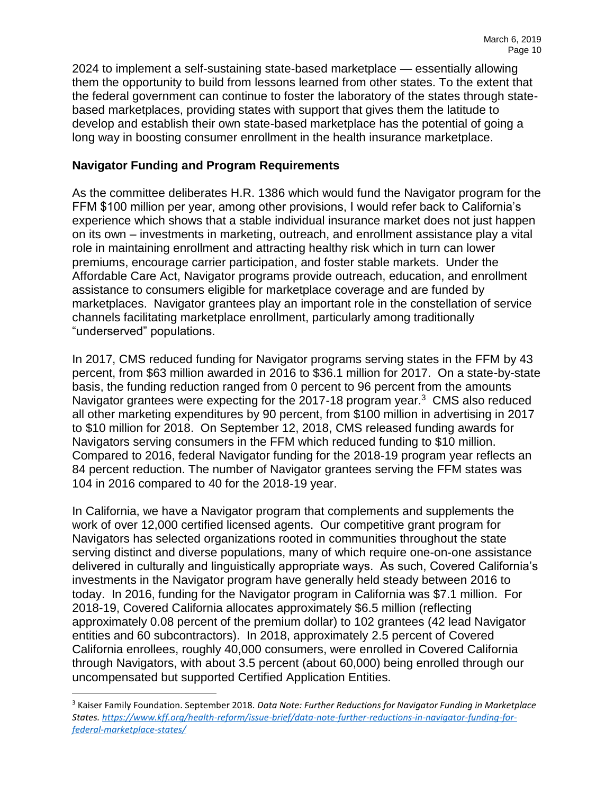2024 to implement a self-sustaining state-based marketplace — essentially allowing them the opportunity to build from lessons learned from other states. To the extent that the federal government can continue to foster the laboratory of the states through statebased marketplaces, providing states with support that gives them the latitude to develop and establish their own state-based marketplace has the potential of going a long way in boosting consumer enrollment in the health insurance marketplace.

## **Navigator Funding and Program Requirements**

As the committee deliberates H.R. 1386 which would fund the Navigator program for the FFM \$100 million per year, among other provisions, I would refer back to California's experience which shows that a stable individual insurance market does not just happen on its own – investments in marketing, outreach, and enrollment assistance play a vital role in maintaining enrollment and attracting healthy risk which in turn can lower premiums, encourage carrier participation, and foster stable markets. Under the Affordable Care Act, Navigator programs provide outreach, education, and enrollment assistance to consumers eligible for marketplace coverage and are funded by marketplaces. Navigator grantees play an important role in the constellation of service channels facilitating marketplace enrollment, particularly among traditionally "underserved" populations.

In 2017, CMS reduced funding for Navigator programs serving states in the FFM by 43 percent, from \$63 million awarded in 2016 to \$36.1 million for 2017. On a state-by-state basis, the funding reduction ranged from 0 percent to 96 percent from the amounts Navigator grantees were expecting for the 2017-18 program year. $3$  CMS also reduced all other marketing expenditures by 90 percent, from \$100 million in advertising in 2017 to \$10 million for 2018. On September 12, 2018, CMS released funding awards for Navigators serving consumers in the FFM which reduced funding to \$10 million. Compared to 2016, federal Navigator funding for the 2018-19 program year reflects an 84 percent reduction. The number of Navigator grantees serving the FFM states was 104 in 2016 compared to 40 for the 2018-19 year.

In California, we have a Navigator program that complements and supplements the work of over 12,000 certified licensed agents. Our competitive grant program for Navigators has selected organizations rooted in communities throughout the state serving distinct and diverse populations, many of which require one-on-one assistance delivered in culturally and linguistically appropriate ways. As such, Covered California's investments in the Navigator program have generally held steady between 2016 to today. In 2016, funding for the Navigator program in California was \$7.1 million. For 2018-19, Covered California allocates approximately \$6.5 million (reflecting approximately 0.08 percent of the premium dollar) to 102 grantees (42 lead Navigator entities and 60 subcontractors). In 2018, approximately 2.5 percent of Covered California enrollees, roughly 40,000 consumers, were enrolled in Covered California through Navigators, with about 3.5 percent (about 60,000) being enrolled through our uncompensated but supported Certified Application Entities.

 $\overline{a}$ 

<sup>3</sup> Kaiser Family Foundation. September 2018. *Data Note: Further Reductions for Navigator Funding in Marketplace States. [https://www.kff.org/health-reform/issue-brief/data-note-further-reductions-in-navigator-funding-for](https://www.kff.org/health-reform/issue-brief/data-note-further-reductions-in-navigator-funding-for-federal-marketplace-states/)[federal-marketplace-states/](https://www.kff.org/health-reform/issue-brief/data-note-further-reductions-in-navigator-funding-for-federal-marketplace-states/)*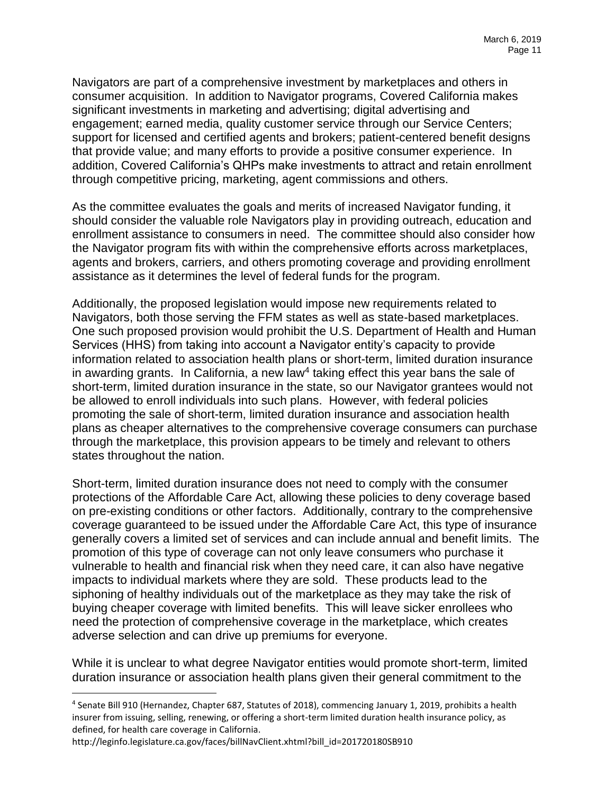Navigators are part of a comprehensive investment by marketplaces and others in consumer acquisition. In addition to Navigator programs, Covered California makes significant investments in marketing and advertising; digital advertising and engagement; earned media, quality customer service through our Service Centers; support for licensed and certified agents and brokers; patient-centered benefit designs that provide value; and many efforts to provide a positive consumer experience. In addition, Covered California's QHPs make investments to attract and retain enrollment through competitive pricing, marketing, agent commissions and others.

As the committee evaluates the goals and merits of increased Navigator funding, it should consider the valuable role Navigators play in providing outreach, education and enrollment assistance to consumers in need. The committee should also consider how the Navigator program fits with within the comprehensive efforts across marketplaces, agents and brokers, carriers, and others promoting coverage and providing enrollment assistance as it determines the level of federal funds for the program.

Additionally, the proposed legislation would impose new requirements related to Navigators, both those serving the FFM states as well as state-based marketplaces. One such proposed provision would prohibit the U.S. Department of Health and Human Services (HHS) from taking into account a Navigator entity's capacity to provide information related to association health plans or short-term, limited duration insurance in awarding grants. In California, a new law<sup>4</sup> taking effect this year bans the sale of short-term, limited duration insurance in the state, so our Navigator grantees would not be allowed to enroll individuals into such plans. However, with federal policies promoting the sale of short-term, limited duration insurance and association health plans as cheaper alternatives to the comprehensive coverage consumers can purchase through the marketplace, this provision appears to be timely and relevant to others states throughout the nation.

Short-term, limited duration insurance does not need to comply with the consumer protections of the Affordable Care Act, allowing these policies to deny coverage based on pre-existing conditions or other factors. Additionally, contrary to the comprehensive coverage guaranteed to be issued under the Affordable Care Act, this type of insurance generally covers a limited set of services and can include annual and benefit limits. The promotion of this type of coverage can not only leave consumers who purchase it vulnerable to health and financial risk when they need care, it can also have negative impacts to individual markets where they are sold. These products lead to the siphoning of healthy individuals out of the marketplace as they may take the risk of buying cheaper coverage with limited benefits. This will leave sicker enrollees who need the protection of comprehensive coverage in the marketplace, which creates adverse selection and can drive up premiums for everyone.

While it is unclear to what degree Navigator entities would promote short-term, limited duration insurance or association health plans given their general commitment to the

 $\overline{a}$ 

<sup>4</sup> Senate Bill 910 (Hernandez, Chapter 687, Statutes of 2018), commencing January 1, 2019, prohibits a health insurer from issuing, selling, renewing, or offering a short-term limited duration health insurance policy, as defined, for health care coverage in California.

http://leginfo.legislature.ca.gov/faces/billNavClient.xhtml?bill\_id=201720180SB910